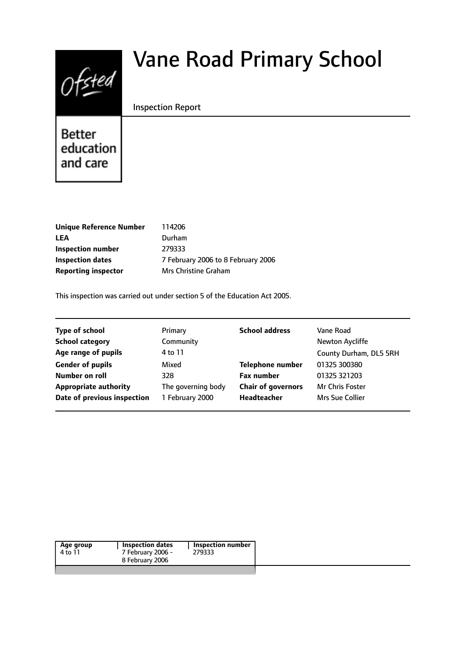# $Of$ sted

# Vane Road Primary School

#### Inspection Report

Better education and care

| <b>Unique Reference Number</b> | 114206                             |
|--------------------------------|------------------------------------|
| LEA                            | Durham                             |
| Inspection number              | 279333                             |
| Inspection dates               | 7 February 2006 to 8 February 2006 |
| Reporting inspector            | <b>Mrs Christine Graham</b>        |
|                                |                                    |

This inspection was carried out under section 5 of the Education Act 2005.

| <b>Type of school</b>        | Primary            | <b>School address</b>     | Vane Road              |
|------------------------------|--------------------|---------------------------|------------------------|
| <b>School category</b>       | Community          |                           | Newton Aycliffe        |
| Age range of pupils          | 4 to 11            |                           | County Durham, DL5 5RH |
| <b>Gender of pupils</b>      | Mixed              | <b>Telephone number</b>   | 01325 300380           |
| Number on roll               | 328                | <b>Fax number</b>         | 01325 321203           |
| <b>Appropriate authority</b> | The governing body | <b>Chair of governors</b> | <b>Mr Chris Foster</b> |
| Date of previous inspection  | 1 February 2000    | <b>Headteacher</b>        | Mrs Sue Collier        |
|                              |                    |                           |                        |

| 4 to 11 | 7 February 2006 - | 279333 |  |
|---------|-------------------|--------|--|
|         |                   |        |  |
|         | 8 February 2006   |        |  |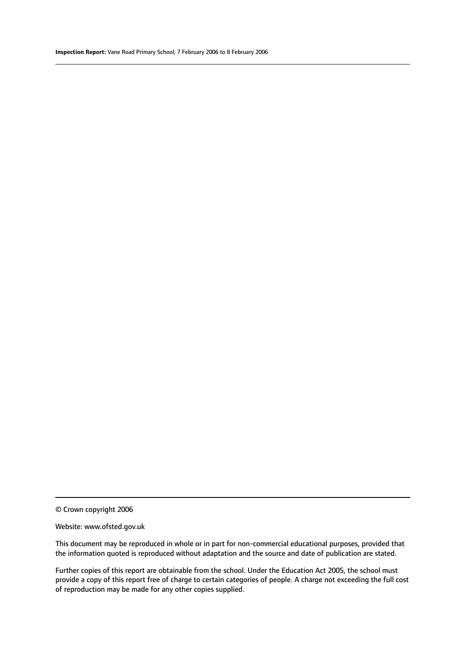© Crown copyright 2006

#### Website: www.ofsted.gov.uk

This document may be reproduced in whole or in part for non-commercial educational purposes, provided that the information quoted is reproduced without adaptation and the source and date of publication are stated.

Further copies of this report are obtainable from the school. Under the Education Act 2005, the school must provide a copy of this report free of charge to certain categories of people. A charge not exceeding the full cost of reproduction may be made for any other copies supplied.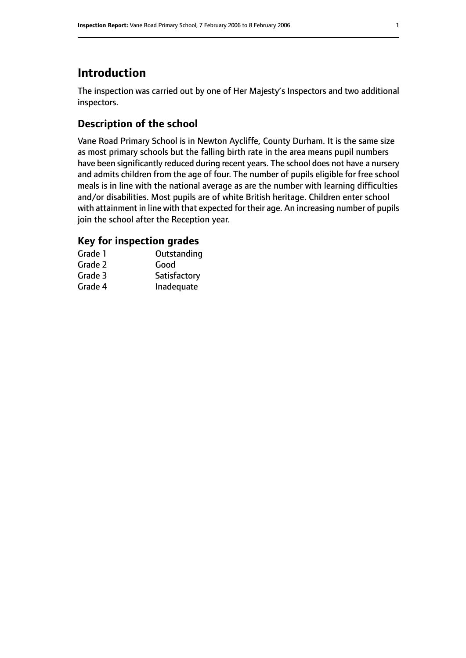# **Introduction**

The inspection was carried out by one of Her Majesty's Inspectors and two additional inspectors.

#### **Description of the school**

Vane Road Primary School is in Newton Aycliffe, County Durham. It is the same size as most primary schools but the falling birth rate in the area means pupil numbers have been significantly reduced during recent years. The school does not have a nursery and admits children from the age of four. The number of pupils eligible for free school meals is in line with the national average as are the number with learning difficulties and/or disabilities. Most pupils are of white British heritage. Children enter school with attainment in line with that expected for their age. An increasing number of pupils join the school after the Reception year.

# **Key for inspection grades**

| Grade 1 | Outstanding  |
|---------|--------------|
| Grade 2 | Good         |
| Grade 3 | Satisfactory |
| Grade 4 | Inadequate   |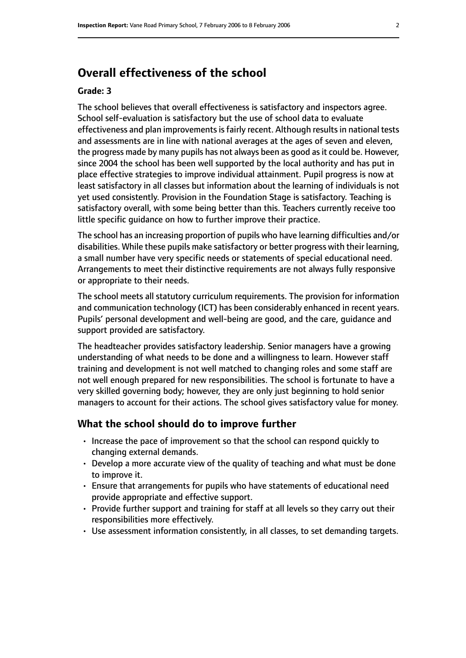# **Overall effectiveness of the school**

#### **Grade: 3**

The school believes that overall effectiveness is satisfactory and inspectors agree. School self-evaluation is satisfactory but the use of school data to evaluate effectiveness and plan improvements is fairly recent. Although results in national tests and assessments are in line with national averages at the ages of seven and eleven, the progress made by many pupils has not always been as good as it could be. However, since 2004 the school has been well supported by the local authority and has put in place effective strategies to improve individual attainment. Pupil progress is now at least satisfactory in all classes but information about the learning of individuals is not yet used consistently. Provision in the Foundation Stage is satisfactory. Teaching is satisfactory overall, with some being better than this. Teachers currently receive too little specific guidance on how to further improve their practice.

The school has an increasing proportion of pupils who have learning difficulties and/or disabilities. While these pupils make satisfactory or better progress with their learning, a small number have very specific needs or statements of special educational need. Arrangements to meet their distinctive requirements are not always fully responsive or appropriate to their needs.

The school meets all statutory curriculum requirements. The provision for information and communication technology (ICT) has been considerably enhanced in recent years. Pupils' personal development and well-being are good, and the care, guidance and support provided are satisfactory.

The headteacher provides satisfactory leadership. Senior managers have a growing understanding of what needs to be done and a willingness to learn. However staff training and development is not well matched to changing roles and some staff are not well enough prepared for new responsibilities. The school is fortunate to have a very skilled governing body; however, they are only just beginning to hold senior managers to account for their actions. The school gives satisfactory value for money.

#### **What the school should do to improve further**

- Increase the pace of improvement so that the school can respond quickly to changing external demands.
- Develop a more accurate view of the quality of teaching and what must be done to improve it.
- Ensure that arrangements for pupils who have statements of educational need provide appropriate and effective support.
- Provide further support and training for staff at all levels so they carry out their responsibilities more effectively.
- Use assessment information consistently, in all classes, to set demanding targets.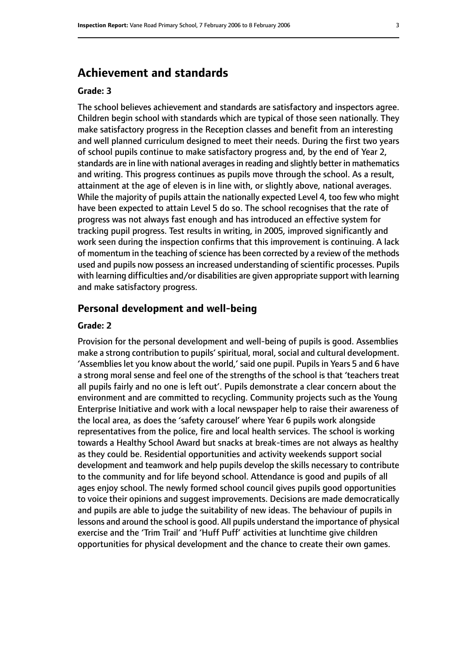# **Achievement and standards**

#### **Grade: 3**

The school believes achievement and standards are satisfactory and inspectors agree. Children begin school with standards which are typical of those seen nationally. They make satisfactory progress in the Reception classes and benefit from an interesting and well planned curriculum designed to meet their needs. During the first two years of school pupils continue to make satisfactory progress and, by the end of Year 2, standards are in line with national averages in reading and slightly better in mathematics and writing. This progress continues as pupils move through the school. As a result, attainment at the age of eleven is in line with, or slightly above, national averages. While the majority of pupils attain the nationally expected Level 4, too few who might have been expected to attain Level 5 do so. The school recognises that the rate of progress was not always fast enough and has introduced an effective system for tracking pupil progress. Test results in writing, in 2005, improved significantly and work seen during the inspection confirms that this improvement is continuing. A lack of momentum in the teaching of science has been corrected by a review of the methods used and pupils now possess an increased understanding of scientific processes. Pupils with learning difficulties and/or disabilities are given appropriate support with learning and make satisfactory progress.

#### **Personal development and well-being**

#### **Grade: 2**

Provision for the personal development and well-being of pupils is good. Assemblies make a strong contribution to pupils' spiritual, moral, social and cultural development. 'Assemblies let you know about the world,' said one pupil. Pupils in Years 5 and 6 have a strong moral sense and feel one of the strengths of the school is that 'teachers treat all pupils fairly and no one is left out'. Pupils demonstrate a clear concern about the environment and are committed to recycling. Community projects such as the Young Enterprise Initiative and work with a local newspaper help to raise their awareness of the local area, as does the 'safety carousel' where Year 6 pupils work alongside representatives from the police, fire and local health services. The school is working towards a Healthy School Award but snacks at break-times are not always as healthy as they could be. Residential opportunities and activity weekends support social development and teamwork and help pupils develop the skills necessary to contribute to the community and for life beyond school. Attendance is good and pupils of all ages enjoy school. The newly formed school council gives pupils good opportunities to voice their opinions and suggest improvements. Decisions are made democratically and pupils are able to judge the suitability of new ideas. The behaviour of pupils in lessons and around the school is good. All pupils understand the importance of physical exercise and the 'Trim Trail' and 'Huff Puff' activities at lunchtime give children opportunities for physical development and the chance to create their own games.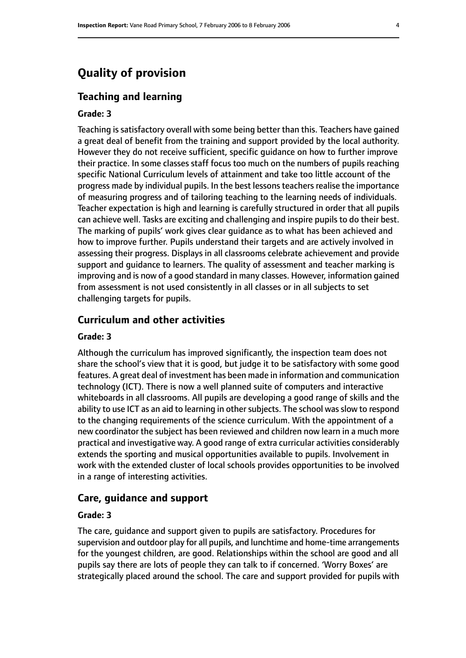# **Quality of provision**

#### **Teaching and learning**

#### **Grade: 3**

Teaching is satisfactory overall with some being better than this. Teachers have gained a great deal of benefit from the training and support provided by the local authority. However they do not receive sufficient, specific guidance on how to further improve their practice. In some classes staff focus too much on the numbers of pupils reaching specific National Curriculum levels of attainment and take too little account of the progress made by individual pupils. In the best lessons teachers realise the importance of measuring progress and of tailoring teaching to the learning needs of individuals. Teacher expectation is high and learning is carefully structured in order that all pupils can achieve well. Tasks are exciting and challenging and inspire pupils to do their best. The marking of pupils' work gives clear guidance as to what has been achieved and how to improve further. Pupils understand their targets and are actively involved in assessing their progress. Displays in all classrooms celebrate achievement and provide support and guidance to learners. The quality of assessment and teacher marking is improving and is now of a good standard in many classes. However, information gained from assessment is not used consistently in all classes or in all subjects to set challenging targets for pupils.

#### **Curriculum and other activities**

#### **Grade: 3**

Although the curriculum has improved significantly, the inspection team does not share the school's view that it is good, but judge it to be satisfactory with some good features. A great deal of investment has been made in information and communication technology (ICT). There is now a well planned suite of computers and interactive whiteboards in all classrooms. All pupils are developing a good range of skills and the ability to use ICT as an aid to learning in other subjects. The school was slow to respond to the changing requirements of the science curriculum. With the appointment of a new coordinator the subject has been reviewed and children now learn in a much more practical and investigative way. A good range of extra curricular activities considerably extends the sporting and musical opportunities available to pupils. Involvement in work with the extended cluster of local schools provides opportunities to be involved in a range of interesting activities.

#### **Care, guidance and support**

#### **Grade: 3**

The care, guidance and support given to pupils are satisfactory. Procedures for supervision and outdoor play for all pupils, and lunchtime and home-time arrangements for the youngest children, are good. Relationships within the school are good and all pupils say there are lots of people they can talk to if concerned. 'Worry Boxes' are strategically placed around the school. The care and support provided for pupils with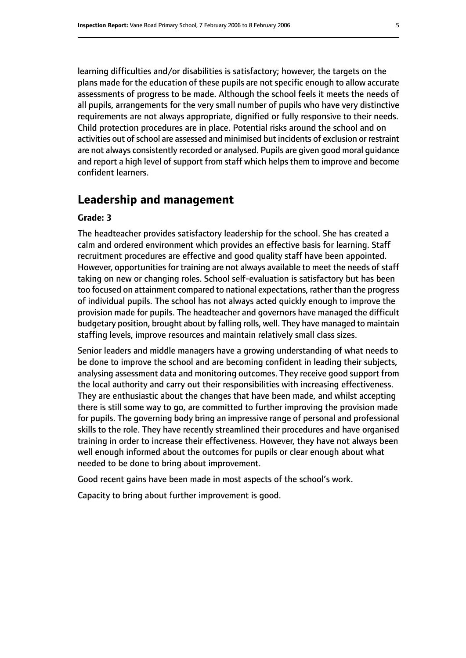learning difficulties and/or disabilities is satisfactory; however, the targets on the plans made for the education of these pupils are not specific enough to allow accurate assessments of progress to be made. Although the school feels it meets the needs of all pupils, arrangements for the very small number of pupils who have very distinctive requirements are not always appropriate, dignified or fully responsive to their needs. Child protection procedures are in place. Potential risks around the school and on activities out of school are assessed and minimised but incidents of exclusion or restraint are not always consistently recorded or analysed. Pupils are given good moral guidance and report a high level of support from staff which helps them to improve and become confident learners.

# **Leadership and management**

#### **Grade: 3**

The headteacher provides satisfactory leadership for the school. She has created a calm and ordered environment which provides an effective basis for learning. Staff recruitment procedures are effective and good quality staff have been appointed. However, opportunities for training are not always available to meet the needs of staff taking on new or changing roles. School self-evaluation is satisfactory but has been too focused on attainment compared to national expectations, rather than the progress of individual pupils. The school has not always acted quickly enough to improve the provision made for pupils. The headteacher and governors have managed the difficult budgetary position, brought about by falling rolls, well. They have managed to maintain staffing levels, improve resources and maintain relatively small class sizes.

Senior leaders and middle managers have a growing understanding of what needs to be done to improve the school and are becoming confident in leading their subjects, analysing assessment data and monitoring outcomes. They receive good support from the local authority and carry out their responsibilities with increasing effectiveness. They are enthusiastic about the changes that have been made, and whilst accepting there is still some way to go, are committed to further improving the provision made for pupils. The governing body bring an impressive range of personal and professional skills to the role. They have recently streamlined their procedures and have organised training in order to increase their effectiveness. However, they have not always been well enough informed about the outcomes for pupils or clear enough about what needed to be done to bring about improvement.

Good recent gains have been made in most aspects of the school's work.

Capacity to bring about further improvement is good.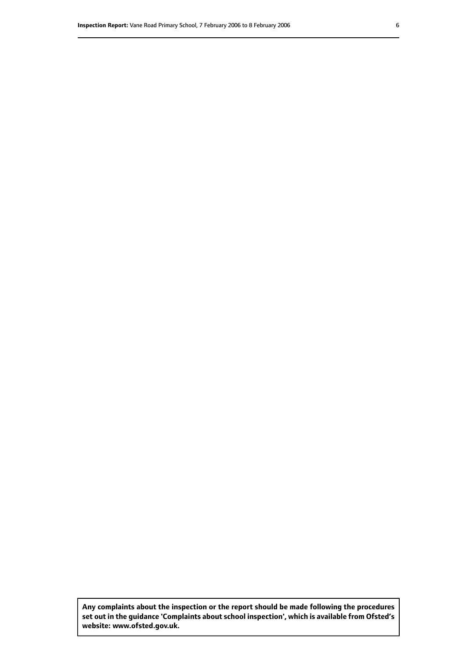**Any complaints about the inspection or the report should be made following the procedures set out inthe guidance 'Complaints about school inspection', whichis available from Ofsted's website: www.ofsted.gov.uk.**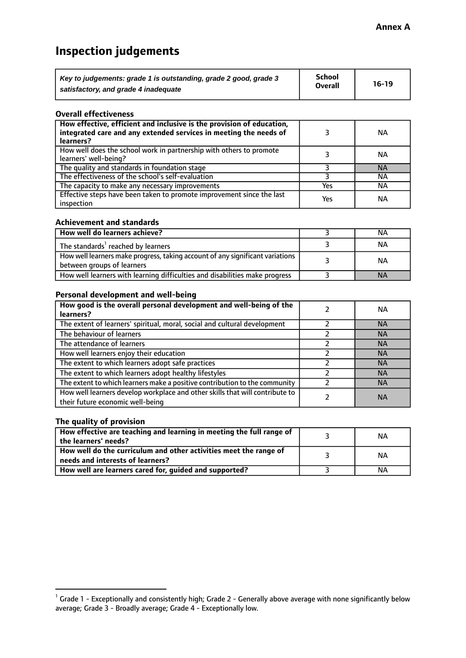# **Inspection judgements**

| Key to judgements: grade 1 is outstanding, grade 2 good, grade 3 | <b>School</b>  | $16-19$ |
|------------------------------------------------------------------|----------------|---------|
| satisfactory, and grade 4 inadequate                             | <b>Overall</b> |         |

#### **Overall effectiveness**

| How effective, efficient and inclusive is the provision of education,<br>integrated care and any extended services in meeting the needs of<br>learners? |     | <b>NA</b> |
|---------------------------------------------------------------------------------------------------------------------------------------------------------|-----|-----------|
| How well does the school work in partnership with others to promote<br>learners' well-being?                                                            |     | ΝA        |
| The quality and standards in foundation stage                                                                                                           |     | <b>NA</b> |
| The effectiveness of the school's self-evaluation                                                                                                       |     | ΝA        |
| The capacity to make any necessary improvements                                                                                                         | Yes | NА        |
| Effective steps have been taken to promote improvement since the last<br>inspection                                                                     | Yes | <b>NA</b> |

#### **Achievement and standards**

| How well do learners achieve?                                                                               | ΝA        |
|-------------------------------------------------------------------------------------------------------------|-----------|
| The standards <sup>1</sup> reached by learners                                                              | NА        |
| How well learners make progress, taking account of any significant variations<br>between groups of learners | <b>NA</b> |
| How well learners with learning difficulties and disabilities make progress                                 | <b>NA</b> |

#### **Personal development and well-being**

| How good is the overall personal development and well-being of the<br>learners?                                  | ΝA        |
|------------------------------------------------------------------------------------------------------------------|-----------|
| The extent of learners' spiritual, moral, social and cultural development                                        | <b>NA</b> |
| The behaviour of learners                                                                                        | <b>NA</b> |
| The attendance of learners                                                                                       | <b>NA</b> |
| How well learners enjoy their education                                                                          | <b>NA</b> |
| The extent to which learners adopt safe practices                                                                | <b>NA</b> |
| The extent to which learners adopt healthy lifestyles                                                            | <b>NA</b> |
| The extent to which learners make a positive contribution to the community                                       | <b>NA</b> |
| How well learners develop workplace and other skills that will contribute to<br>their future economic well-being | <b>NA</b> |

#### **The quality of provision**

| How effective are teaching and learning in meeting the full range of<br>the learners' needs?          | ΝA |
|-------------------------------------------------------------------------------------------------------|----|
| How well do the curriculum and other activities meet the range of<br>needs and interests of learners? | ΝA |
| How well are learners cared for, guided and supported?                                                | NА |

 $^1$  Grade 1 - Exceptionally and consistently high; Grade 2 - Generally above average with none significantly below average; Grade 3 - Broadly average; Grade 4 - Exceptionally low.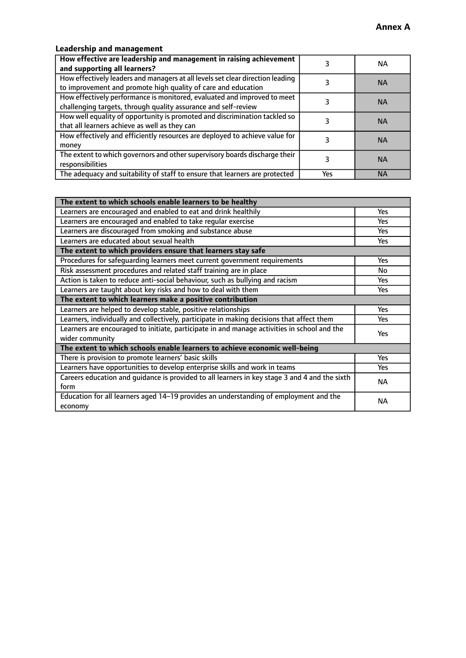## **Leadership and management**

| How effective are leadership and management in raising achievement<br>and supporting all learners?                                              |     | NA.       |
|-------------------------------------------------------------------------------------------------------------------------------------------------|-----|-----------|
| How effectively leaders and managers at all levels set clear direction leading<br>to improvement and promote high quality of care and education |     | <b>NA</b> |
| How effectively performance is monitored, evaluated and improved to meet<br>challenging targets, through quality assurance and self-review      |     | <b>NA</b> |
| How well equality of opportunity is promoted and discrimination tackled so<br>that all learners achieve as well as they can                     |     | <b>NA</b> |
| How effectively and efficiently resources are deployed to achieve value for<br>money                                                            |     | <b>NA</b> |
| The extent to which governors and other supervisory boards discharge their<br>responsibilities                                                  |     | <b>NA</b> |
| The adequacy and suitability of staff to ensure that learners are protected                                                                     | Yes | <b>NA</b> |

| The extent to which schools enable learners to be healthy                                                      |            |
|----------------------------------------------------------------------------------------------------------------|------------|
| Learners are encouraged and enabled to eat and drink healthily                                                 | Yes        |
| Learners are encouraged and enabled to take regular exercise                                                   | Yes        |
| Learners are discouraged from smoking and substance abuse                                                      | <b>Yes</b> |
| Learners are educated about sexual health                                                                      | <b>Yes</b> |
| The extent to which providers ensure that learners stay safe                                                   |            |
| Procedures for safequarding learners meet current government requirements                                      | Yes        |
| Risk assessment procedures and related staff training are in place                                             | No         |
| Action is taken to reduce anti-social behaviour, such as bullying and racism                                   | <b>Yes</b> |
| Learners are taught about key risks and how to deal with them                                                  |            |
| The extent to which learners make a positive contribution                                                      |            |
| Learners are helped to develop stable, positive relationships                                                  |            |
| Learners, individually and collectively, participate in making decisions that affect them                      | Yes        |
| Learners are encouraged to initiate, participate in and manage activities in school and the<br>wider community | <b>Yes</b> |
| The extent to which schools enable learners to achieve economic well-being                                     |            |
| There is provision to promote learners' basic skills                                                           | Yes        |
| Learners have opportunities to develop enterprise skills and work in teams                                     | Yes        |
| Careers education and quidance is provided to all learners in key stage 3 and 4 and the sixth<br>form          | <b>NA</b>  |
| Education for all learners aged 14-19 provides an understanding of employment and the<br>economy               | <b>NA</b>  |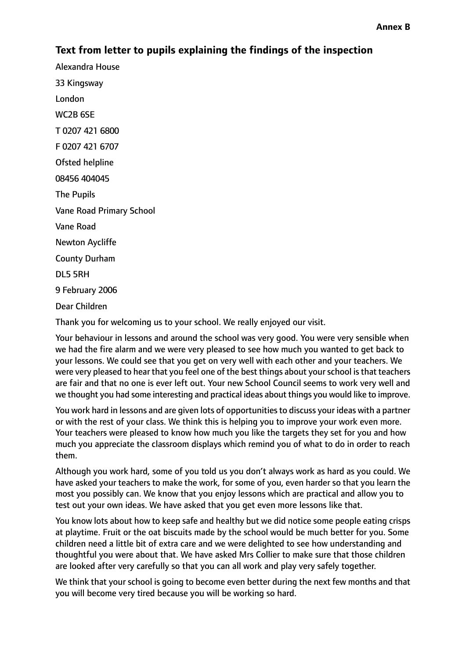# **Text from letter to pupils explaining the findings of the inspection**

Alexandra House 33 Kingsway London WC2B 6SE T 0207 421 6800 F 0207 421 6707 Ofsted helpline 08456 404045 The Pupils Vane Road Primary School Vane Road Newton Aycliffe County Durham DL5 5RH 9 February 2006 Dear Children

Thank you for welcoming us to your school. We really enjoyed our visit.

Your behaviour in lessons and around the school was very good. You were very sensible when we had the fire alarm and we were very pleased to see how much you wanted to get back to your lessons. We could see that you get on very well with each other and your teachers. We were very pleased to hear that you feel one of the best things about yourschool isthat teachers are fair and that no one is ever left out. Your new School Council seems to work very well and we thought you had some interesting and practical ideas about things you would like to improve.

You work hard in lessons and are given lots of opportunities to discuss your ideas with a partner or with the rest of your class. We think this is helping you to improve your work even more. Your teachers were pleased to know how much you like the targets they set for you and how much you appreciate the classroom displays which remind you of what to do in order to reach them.

Although you work hard, some of you told us you don't always work as hard as you could. We have asked your teachers to make the work, for some of you, even harder so that you learn the most you possibly can. We know that you enjoy lessons which are practical and allow you to test out your own ideas. We have asked that you get even more lessons like that.

You know lots about how to keep safe and healthy but we did notice some people eating crisps at playtime. Fruit or the oat biscuits made by the school would be much better for you. Some children need a little bit of extra care and we were delighted to see how understanding and thoughtful you were about that. We have asked Mrs Collier to make sure that those children are looked after very carefully so that you can all work and play very safely together.

We think that your school is going to become even better during the next few months and that you will become very tired because you will be working so hard.